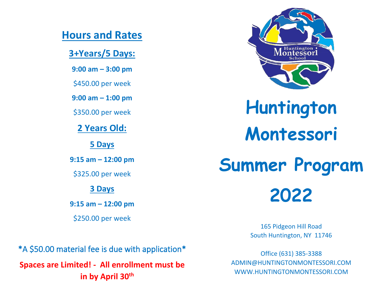## **Hours and Rates**

**3+Years/5 Days:**

**9:00 am – 3:00 pm**

\$450.00 per week

**9:00 am – 1:00 pm**

\$350.00 per week

**2 Years Old:**

**5 Days**

**9:15 am – 12:00 pm**

\$325.00 per week

#### **3 Days**

**9:15 am – 12:00 pm**

\$250.00 per week

\*A \$50.00 material fee is due with application\* **Spaces are Limited! - All enrollment must be in by April 30th**



**Huntington Montessori**

**Summer Program 2022**

> 165 Pidgeon Hill Road South Huntington, NY 11746

Office (631) 385-3388 ADMIN@HUNTINGTONMONTESSORI.COM WWW.HUNTINGTONMONTESSORI.COM